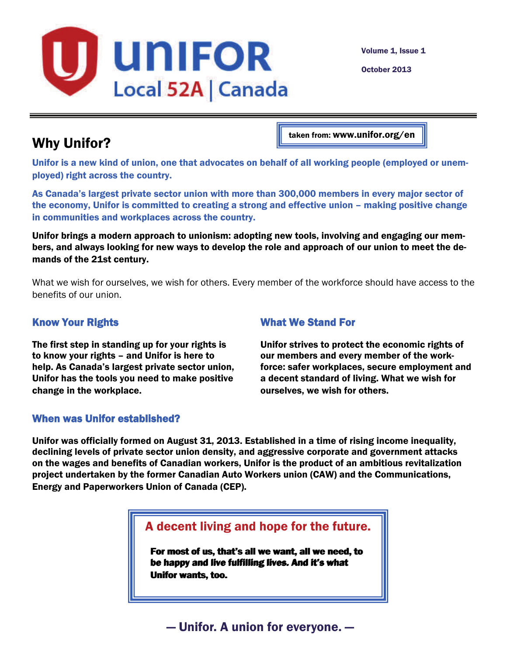

Volume 1, Issue 1

October 2013

# Why Unifor?

taken from: www.unifor.org/en

Unifor is a new kind of union, one that advocates on behalf of all working people (employed or unemployed) right across the country.

As Canada's largest private sector union with more than 300,000 members in every major sector of the economy, Unifor is committed to creating a strong and effective union – making positive change in communities and workplaces across the country.

Unifor brings a modern approach to unionism: adopting new tools, involving and engaging our members, and always looking for new ways to develop the role and approach of our union to meet the demands of the 21st century.

What we wish for ourselves, we wish for others. Every member of the workforce should have access to the benefits of our union.

### [Know Your Rights](http://www.unifor.org/en/why-unifor/know-your-rights)

The first step in standing up for your rights is to know your rights – and Unifor is here to help. As Canada's largest private sector union, Unifor has the tools you need to make positive change in the workplace.

#### [What We Stand For](http://www.unifor.org/en/why-unifor/policies)

Unifor strives to protect the economic rights of our members and every member of the workforce: safer workplaces, secure employment and a decent standard of living. What we wish for ourselves, we wish for others.

#### When was Unifor established?

Unifor was officially formed on August 31, 2013. Established in a time of rising income inequality, declining levels of private sector union density, and aggressive corporate and government attacks on the wages and benefits of Canadian workers, Unifor is the product of an ambitious revitalization project undertaken by the former Canadian Auto Workers union (CAW) and the Communications, Energy and Paperworkers Union of Canada (CEP).

A decent living and hope for the future.

For most of us, that's all we want, all we need, to For most of us, that's all we want, all we need, to be happy and live fulfilling lives. And it's what be happy and live fulfilling lives. And it's what Unifor wants, too. Unifor wants, too.

# — Unifor. A union for everyone. —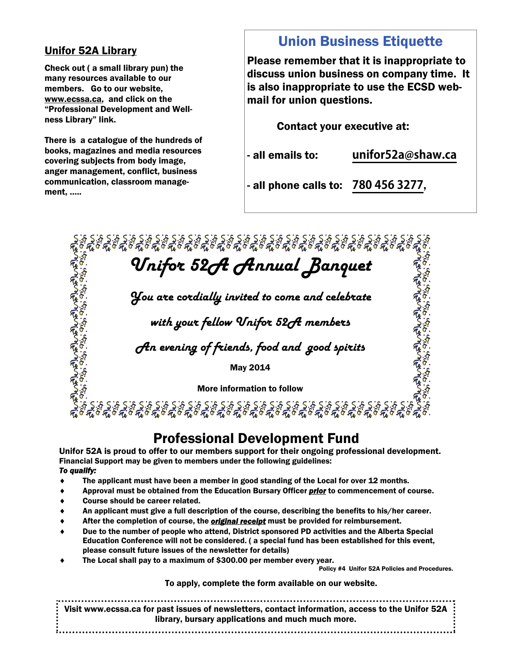### Unifor 52A Library

Check out ( a small library pun) the many resources available to our members. Go to our website, www.ecssa.ca, and click on the "Professional Development and Wellness Library" link.

There is a catalogue of the hundreds of books, magazines and media resources covering subjects from body image, anger management, conflict, business communication, classroom management, …..

# Union Business Etiquette

Please remember that it is inappropriate to discuss union business on company time. It is also inappropriate to use the ECSD webmail for union questions.

Contact your executive at:

- all emails to: **unifor52a@shaw.ca** 

محمد المحمد المحمد المحمد المحمد المحمد المحمد المحمد المحمد المحمد المحمد المحمد المحمد المحمد المحمد المحمد<br>كانت المحمد المحمد المحمد المحمد المحمد المحمد المحمد المحمد المحمد المحمد المحمد المحمد المحمد المحمد المحمد<br>ا

- all phone calls to: **780 456 3277**,

*Unifor 52A Annual Banquet* 

*You are cordially invited to come and celebrate* 

*with your fellow Unifor 52A members* 

*An evening of friends, food and good spirits* 

May 2014

More information to follow

ू.<br>१९८१: १९६६: १९६६: १९६६: १९६६: १९६६: १९६६: १९६६: १९६६: १९६६: १९६६: १९६६: १९६६: १९६६<br>९

### Professional Development Fund

Unifor 52A is proud to offer to our members support for their ongoing professional development. Financial Support may be given to members under the following guidelines: *To qualify:* 

- The applicant must have been a member in good standing of the Local for over 12 months.
- Approval must be obtained from the Education Bursary Officer *prior* to commencement of course.
- Course should be career related.
- An applicant must give a full description of the course, describing the benefits to his/her career.
- After the completion of course, the *original receipt* must be provided for reimbursement.
- Due to the number of people who attend, District sponsored PD activities and the Alberta Special Education Conference will not be considered. ( a special fund has been established for this event, please consult future issues of the newsletter for details)
- The Local shall pay to a maximum of \$300.00 per member every year.

Policy #4 Unifor 52A Policies and Procedures.

To apply, complete the form available on our website.

Visit www.ecssa.ca for past issues of newsletters, contact information, access to the Unifor 52A library, bursary applications and much much more.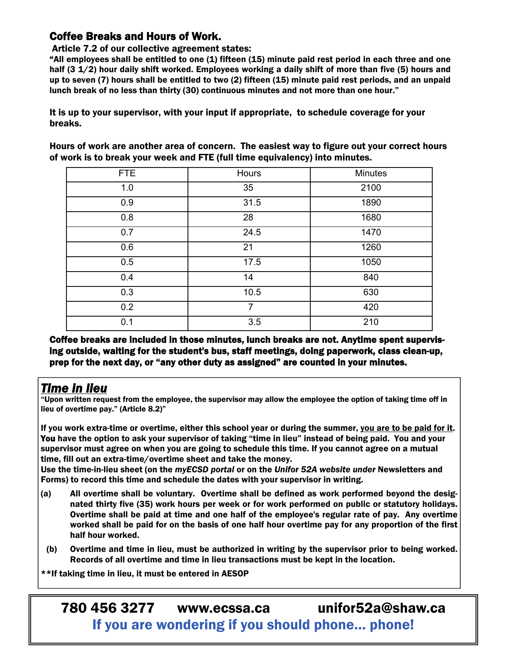### Coffee Breaks and Hours of Work.

#### Article 7.2 of our collective agreement states:

"All employees shall be entitled to one (1) fifteen (15) minute paid rest period in each three and one half (3 1/2) hour daily shift worked. Employees working a daily shift of more than five (5) hours and up to seven (7) hours shall be entitled to two (2) fifteen (15) minute paid rest periods, and an unpaid lunch break of no less than thirty (30) continuous minutes and not more than one hour."

It is up to your supervisor, with your input if appropriate, to schedule coverage for your breaks.

Hours of work are another area of concern. The easiest way to figure out your correct hours of work is to break your week and FTE (full time equivalency) into minutes.

| FTE | Hours          | <b>Minutes</b> |
|-----|----------------|----------------|
| 1.0 | 35             | 2100           |
| 0.9 | 31.5           | 1890           |
| 0.8 | 28             | 1680           |
| 0.7 | 24.5           | 1470           |
| 0.6 | 21             | 1260           |
| 0.5 | 17.5           | 1050           |
| 0.4 | 14             | 840            |
| 0.3 | 10.5           | 630            |
| 0.2 | $\overline{7}$ | 420            |
| 0.1 | 3.5            | 210            |

Coffee breaks are included in those minutes, lunch breaks are not. Anytime spent supervising outside, waiting for the student's bus, staff meetings, doing paperwork, class clean-up, prep for the next day, or "any other duty as assigned" are counted in your minutes.

### *Time in lieu*

"Upon written request from the employee, the supervisor may allow the employee the option of taking time off in lieu of overtime pay." (Article 8.2)"

If you work extra-time or overtime, either this school year or during the summer, you are to be paid for it. You have the option to ask your supervisor of taking "time in lieu" instead of being paid. You and your supervisor must agree on when you are going to schedule this time. If you cannot agree on a mutual time, fill out an extra-time/overtime sheet and take the money.

Use the time-in-lieu sheet (on the *myECSD portal* or on the *Unifor 52A website under* Newsletters and Forms) to record this time and schedule the dates with your supervisor in writing.

- (a) All overtime shall be voluntary. Overtime shall be defined as work performed beyond the designated thirty five (35) work hours per week or for work performed on public or statutory holidays. Overtime shall be paid at time and one half of the employee's regular rate of pay. Any overtime worked shall be paid for on the basis of one half hour overtime pay for any proportion of the first half hour worked.
- (b) Overtime and time in lieu, must be authorized in writing by the supervisor prior to being worked. Records of all overtime and time in lieu transactions must be kept in the location.

\*\*If taking time in lieu, it must be entered in AESOP

780 456 3277 www.ecssa.ca unifor52a@shaw.ca If you are wondering if you should phone… phone!